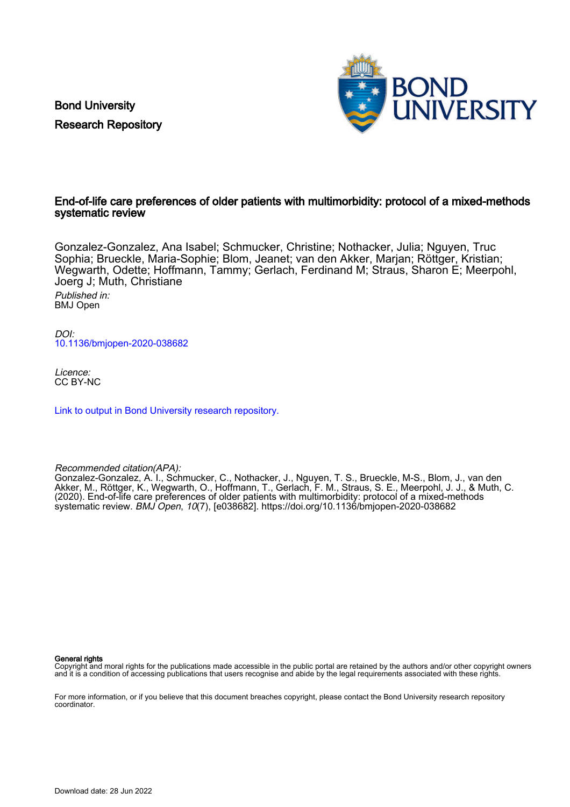Bond University Research Repository



# End-of-life care preferences of older patients with multimorbidity: protocol of a mixed-methods systematic review

Gonzalez-Gonzalez, Ana Isabel; Schmucker, Christine; Nothacker, Julia; Nguyen, Truc Sophia; Brueckle, Maria-Sophie; Blom, Jeanet; van den Akker, Marjan; Röttger, Kristian; Wegwarth, Odette; Hoffmann, Tammy; Gerlach, Ferdinand M; Straus, Sharon E; Meerpohl, Joerg J; Muth, Christiane

Published in: BMJ Open

DOI: [10.1136/bmjopen-2020-038682](https://doi.org/10.1136/bmjopen-2020-038682)

Licence: CC BY-NC

[Link to output in Bond University research repository.](https://research.bond.edu.au/en/publications/636d7b9c-008c-4d92-a3bf-b4e76b1216ca)

Recommended citation(APA):

Gonzalez-Gonzalez, A. I., Schmucker, C., Nothacker, J., Nguyen, T. S., Brueckle, M-S., Blom, J., van den Akker, M., Röttger, K., Wegwarth, O., Hoffmann, T., Gerlach, F. M., Straus, S. E., Meerpohl, J. J., & Muth, C. (2020). End-of-life care preferences of older patients with multimorbidity: protocol of a mixed-methods systematic review. BMJ Open, 10(7), [e038682].<https://doi.org/10.1136/bmjopen-2020-038682>

#### General rights

Copyright and moral rights for the publications made accessible in the public portal are retained by the authors and/or other copyright owners and it is a condition of accessing publications that users recognise and abide by the legal requirements associated with these rights.

For more information, or if you believe that this document breaches copyright, please contact the Bond University research repository coordinator.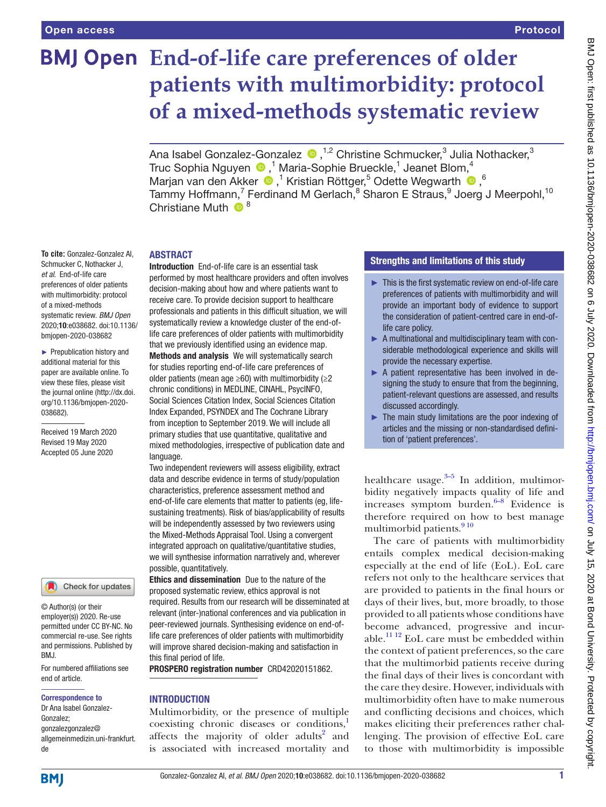# **End-of-life care preferences of older patients with multimorbidity: protocol of a mixed-methods systematic review**

Ana Isabel Gonzalez-Gonzalez (D, <sup>1,2</sup> Christine Schmucker,<sup>3</sup> Julia Nothacker,<sup>3</sup> TrucSophia Nguyen (D,<sup>1</sup> Maria-Sophie Brueckle,<sup>1</sup> Jeanet Blom,<sup>4</sup> Marjanvan den Akker <sup>®</sup>,<sup>1</sup> Kristian Röttger,<sup>5</sup> Odette Wegwarth <sup>®</sup>,<sup>6</sup> Tammy Hoffmann,<sup>7</sup> Ferdinand M Gerlach,<sup>8</sup> Sharon E Straus,<sup>9</sup> Joerg J Meerpohl,<sup>10</sup> Christiane Muth  $\bigcirc^8$ 

# **ABSTRACT**

**To cite:** Gonzalez-Gonzalez AI, Schmucker C, Nothacker J, *et al*. End-of-life care preferences of older patients with multimorbidity: protocol of a mixed-methods systematic review. *BMJ Open* 2020;10:e038682. doi:10.1136/ bmjopen-2020-038682

► Prepublication history and additional material for this paper are available online. To view these files, please visit the journal online (http://dx.doi. org/10.1136/bmjopen-2020- 038682).

Received 19 March 2020 Revised 19 May 2020 Accepted 05 June 2020

#### Check for updates

© Author(s) (or their employer(s)) 2020. Re-use permitted under CC BY-NC. No commercial re-use. See rights and permissions. Published by BMJ.

For numbered affiliations see end of article.

#### Correspondence to

Dr Ana Isabel Gonzalez-Gonzalez; gonzalezgonzalez@ allgemeinmedizin.uni-frankfurt. de

Introduction End-of-life care is an essential task performed by most healthcare providers and often involves decision-making about how and where patients want to receive care. To provide decision support to healthcare professionals and patients in this difficult situation, we will systematically review a knowledge cluster of the end-oflife care preferences of older patients with multimorbidity that we previously identified using an evidence map. Methods and analysis We will systematically search for studies reporting end-of-life care preferences of older patients (mean age  $\geq 60$ ) with multimorbidity ( $\geq 2$ chronic conditions) in MEDLINE, CINAHL, PsycINFO, Social Sciences Citation Index, Social Sciences Citation Index Expanded, PSYNDEX and The Cochrane Library from inception to September 2019. We will include all primary studies that use quantitative, qualitative and mixed methodologies, irrespective of publication date and language.

Two independent reviewers will assess eligibility, extract data and describe evidence in terms of study/population characteristics, preference assessment method and end-of-life care elements that matter to patients (eg, lifesustaining treatments). Risk of bias/applicability of results will be independently assessed by two reviewers using the Mixed-Methods Appraisal Tool. Using a convergent integrated approach on qualitative/quantitative studies, we will synthesise information narratively and, wherever possible, quantitatively.

Ethics and dissemination Due to the nature of the proposed systematic review, ethics approval is not required. Results from our research will be disseminated at relevant (inter-)national conferences and via publication in peer-reviewed journals. Synthesising evidence on end-oflife care preferences of older patients with multimorbidity will improve shared decision-making and satisfaction in this final period of life.

PROSPERO registration number CRD42020151862.

# **INTRODUCTION**

Multimorbidity, or the presence of multiple coexisting chronic diseases or conditions,<sup>[1](#page-6-0)</sup> affects the majority of older adults<sup>[2](#page-6-1)</sup> and is associated with increased mortality and

# Strengths and limitations of this study

- ► This is the first systematic review on end-of-life care preferences of patients with multimorbidity and will provide an important body of evidence to support the consideration of patient-centred care in end-oflife care policy.
- ► A multinational and multidisciplinary team with considerable methodological experience and skills will provide the necessary expertise.
- ► A patient representative has been involved in designing the study to ensure that from the beginning, patient-relevant questions are assessed, and results discussed accordingly.
- ► The main study limitations are the poor indexing of articles and the missing or non-standardised definition of 'patient preferences'.

healthcare usage. $3-5$  In addition, multimorbidity negatively impacts quality of life and increases symptom burden. $6-8$  Evidence is therefore required on how to best manage multimorbid patients.<sup>[9 10](#page-6-4)</sup>

The care of patients with multimorbidity entails complex medical decision-making especially at the end of life (EoL). EoL care refers not only to the healthcare services that are provided to patients in the final hours or days of their lives, but, more broadly, to those provided to all patients whose conditions have become advanced, progressive and incurable.<sup>11 12</sup> EoL care must be embedded within the context of patient preferences, so the care that the multimorbid patients receive during the final days of their lives is concordant with the care they desire. However, individuals with multimorbidity often have to make numerous and conflicting decisions and choices, which makes eliciting their preferences rather challenging. The provision of effective EoL care to those with multimorbidity is impossible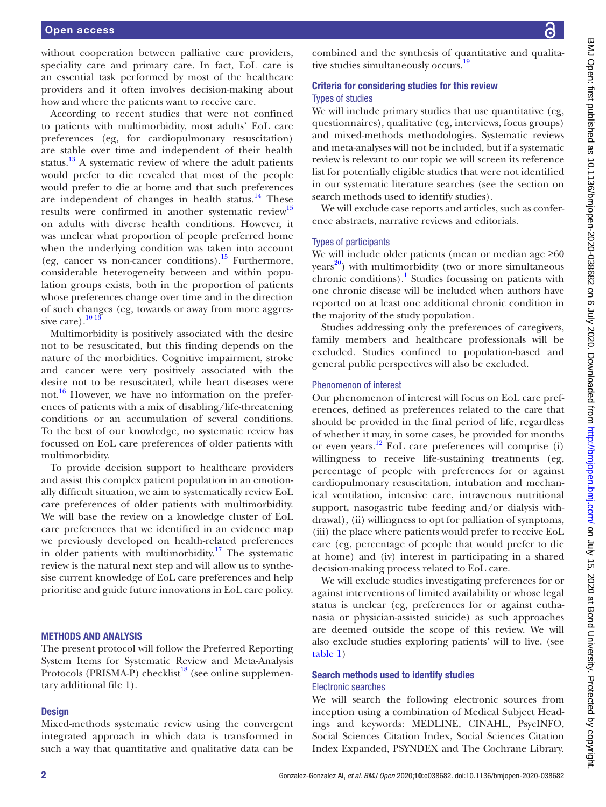#### Open access

without cooperation between palliative care providers, speciality care and primary care. In fact, EoL care is an essential task performed by most of the healthcare providers and it often involves decision-making about how and where the patients want to receive care.

According to recent studies that were not confined to patients with multimorbidity, most adults' EoL care preferences (eg, for cardiopulmonary resuscitation) are stable over time and independent of their health status.<sup>13</sup> A systematic review of where the adult patients would prefer to die revealed that most of the people would prefer to die at home and that such preferences are independent of changes in health status. $14$  These results were confirmed in another systematic review<sup>[15](#page-6-8)</sup> on adults with diverse health conditions. However, it was unclear what proportion of people preferred home when the underlying condition was taken into account (eg, cancer vs non-cancer conditions).<sup>15</sup> Furthermore, considerable heterogeneity between and within population groups exists, both in the proportion of patients whose preferences change over time and in the direction of such changes (eg, towards or away from more aggressive care). $10^{13}$ 

Multimorbidity is positively associated with the desire not to be resuscitated, but this finding depends on the nature of the morbidities. Cognitive impairment, stroke and cancer were very positively associated with the desire not to be resuscitated, while heart diseases were not. $16$  However, we have no information on the preferences of patients with a mix of disabling/life-threatening conditions or an accumulation of several conditions. To the best of our knowledge, no systematic review has focussed on EoL care preferences of older patients with multimorbidity.

To provide decision support to healthcare providers and assist this complex patient population in an emotionally difficult situation, we aim to systematically review EoL care preferences of older patients with multimorbidity. We will base the review on a knowledge cluster of EoL care preferences that we identified in an evidence map we previously developed on health-related preferences in older patients with multimorbidity.<sup>[17](#page-6-11)</sup> The systematic review is the natural next step and will allow us to synthesise current knowledge of EoL care preferences and help prioritise and guide future innovations in EoL care policy.

#### Methods and analysis

The present protocol will follow the Preferred Reporting System Items for Systematic Review and Meta-Analysis Protocols (PRISMA-P) checklist<sup>18</sup> (see [online supplemen](https://dx.doi.org/10.1136/bmjopen-2020-038682)[tary additional file 1](https://dx.doi.org/10.1136/bmjopen-2020-038682)).

#### **Design**

Mixed-methods systematic review using the convergent integrated approach in which data is transformed in such a way that quantitative and qualitative data can be

BMJ Open: first published as 10.1136/bmjopen-2020-038682 on 6 July 2020. Downloaded from http://bmjopen.bmj.com/ on July 15, 2020 at Bond University. Protected by copyright BMJ Open: first published as 10.1136/bmjopen-2020-038682 on 6 July 2020. Downloaded from <http://bmjopen.bmj.com/> BMJ 15, 2020 at Bond University. Protected by copyright.

combined and the synthesis of quantitative and qualitative studies simultaneously occurs.<sup>19</sup>

# Criteria for considering studies for this review Types of studies

We will include primary studies that use quantitative (eg, questionnaires), qualitative (eg, interviews, focus groups) and mixed-methods methodologies. Systematic reviews and meta-analyses will not be included, but if a systematic review is relevant to our topic we will screen its reference list for potentially eligible studies that were not identified in our systematic literature searches (see the section on search methods used to identify studies).

We will exclude case reports and articles, such as conference abstracts, narrative reviews and editorials.

#### Types of participants

We will include older patients (mean or median age ≥60  $\gamma$ ears<sup>20</sup>) with multimorbidity (two or more simultaneous chronic conditions).<sup>1</sup> Studies focussing on patients with one chronic disease will be included when authors have reported on at least one additional chronic condition in the majority of the study population.

Studies addressing only the preferences of caregivers, family members and healthcare professionals will be excluded. Studies confined to population-based and general public perspectives will also be excluded.

#### Phenomenon of interest

Our phenomenon of interest will focus on EoL care preferences, defined as preferences related to the care that should be provided in the final period of life, regardless of whether it may, in some cases, be provided for months or even years.[12](#page-6-15) EoL care preferences will comprise (i) willingness to receive life-sustaining treatments (eg, percentage of people with preferences for or against cardiopulmonary resuscitation, intubation and mechanical ventilation, intensive care, intravenous nutritional support, nasogastric tube feeding and/or dialysis withdrawal), (ii) willingness to opt for palliation of symptoms, (iii) the place where patients would prefer to receive EoL care (eg, percentage of people that would prefer to die at home) and (iv) interest in participating in a shared decision-making process related to EoL care.

We will exclude studies investigating preferences for or against interventions of limited availability or whose legal status is unclear (eg, preferences for or against euthanasia or physician-assisted suicide) as such approaches are deemed outside the scope of this review. We will also exclude studies exploring patients' will to live. (see [table](#page-3-0) 1)

# Search methods used to identify studies Electronic searches

We will search the following electronic sources from inception using a combination of Medical Subject Headings and keywords: MEDLINE, CINAHL, PsycINFO, Social Sciences Citation Index, Social Sciences Citation Index Expanded, PSYNDEX and The Cochrane Library.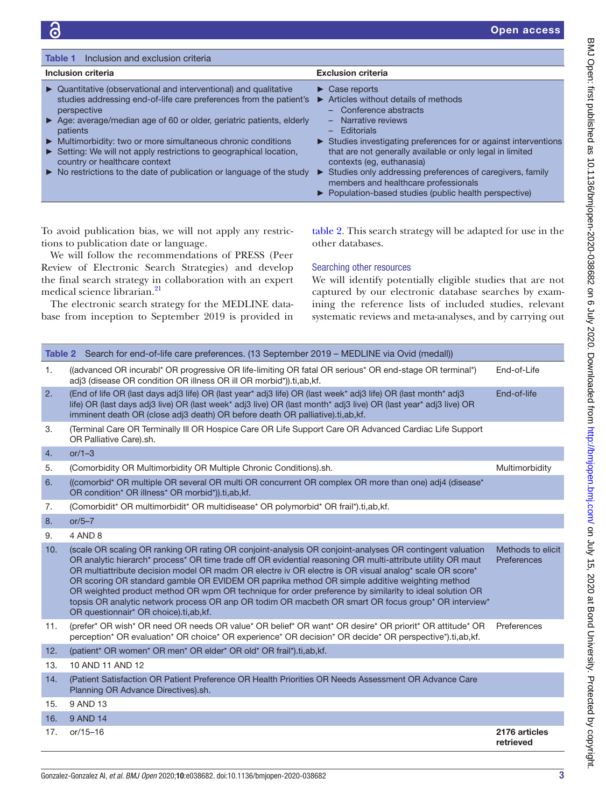<span id="page-3-0"></span>

| Inclusion and exclusion criteria<br><b>Table 1</b>                                                                                                                                                                                                                                                                                                                                                                                                                                                        |                                                                                                                                                                                                                                                                                                                                                                                                                                                                               |  |  |  |
|-----------------------------------------------------------------------------------------------------------------------------------------------------------------------------------------------------------------------------------------------------------------------------------------------------------------------------------------------------------------------------------------------------------------------------------------------------------------------------------------------------------|-------------------------------------------------------------------------------------------------------------------------------------------------------------------------------------------------------------------------------------------------------------------------------------------------------------------------------------------------------------------------------------------------------------------------------------------------------------------------------|--|--|--|
| Inclusion criteria                                                                                                                                                                                                                                                                                                                                                                                                                                                                                        | <b>Exclusion criteria</b>                                                                                                                                                                                                                                                                                                                                                                                                                                                     |  |  |  |
| Quantitative (observational and interventional) and qualitative<br>▶<br>studies addressing end-of-life care preferences from the patient's<br>perspective<br>Age: average/median age of 60 or older, geriatric patients, elderly<br>patients<br>Multimorbidity: two or more simultaneous chronic conditions<br>Setting: We will not apply restrictions to geographical location,<br>country or healthcare context<br>$\triangleright$ No restrictions to the date of publication or language of the study | $\triangleright$ Case reports<br>Articles without details of methods<br>- Conference abstracts<br>Narrative reviews<br>$\equiv$<br>Editorials<br>-<br>Studies investigating preferences for or against interventions<br>that are not generally available or only legal in limited<br>contexts (eq. euthanasia)<br>Studies only addressing preferences of caregivers, family<br>members and healthcare professionals<br>▶ Population-based studies (public health perspective) |  |  |  |

To avoid publication bias, we will not apply any restrictions to publication date or language.

We will follow the recommendations of PRESS (Peer Review of Electronic Search Strategies) and develop the final search strategy in collaboration with an expert medical science librarian.<sup>[21](#page-6-16)</sup>

The electronic search strategy for the MEDLINE database from inception to September 2019 is provided in

[table](#page-3-1) 2. This search strategy will be adapted for use in the other databases.

#### Searching other resources

We will identify potentially eligible studies that are not captured by our electronic database searches by examining the reference lists of included studies, relevant systematic reviews and meta-analyses, and by carrying out

<span id="page-3-1"></span>

|     | Table 2 Search for end-of-life care preferences. (13 September 2019 – MEDLINE via Ovid (medall))                                                                                                                                                                                                                                                                                                                                                                                                                                                                                                                                                                                              |                                  |  |
|-----|-----------------------------------------------------------------------------------------------------------------------------------------------------------------------------------------------------------------------------------------------------------------------------------------------------------------------------------------------------------------------------------------------------------------------------------------------------------------------------------------------------------------------------------------------------------------------------------------------------------------------------------------------------------------------------------------------|----------------------------------|--|
| 1.  | ((advanced OR incurabl* OR progressive OR life-limiting OR fatal OR serious* OR end-stage OR terminal*)<br>adj3 (disease OR condition OR illness OR ill OR morbid*)).ti,ab,kf.                                                                                                                                                                                                                                                                                                                                                                                                                                                                                                                | End-of-Life                      |  |
| 2.  | (End of life OR (last days adj3 life) OR (last year* adj3 life) OR (last week* adj3 life) OR (last month* adj3<br>End-of-life<br>life) OR (last days adj3 live) OR (last week* adj3 live) OR (last month* adj3 live) OR (last year* adj3 live) OR<br>imminent death OR (close adj3 death) OR before death OR palliative).ti,ab,kf.                                                                                                                                                                                                                                                                                                                                                            |                                  |  |
| 3.  | (Terminal Care OR Terminally III OR Hospice Care OR Life Support Care OR Advanced Cardiac Life Support<br>OR Palliative Care).sh.                                                                                                                                                                                                                                                                                                                                                                                                                                                                                                                                                             |                                  |  |
| 4.  | or/ $1-3$                                                                                                                                                                                                                                                                                                                                                                                                                                                                                                                                                                                                                                                                                     |                                  |  |
| 5.  | (Comorbidity OR Multimorbidity OR Multiple Chronic Conditions).sh.                                                                                                                                                                                                                                                                                                                                                                                                                                                                                                                                                                                                                            | Multimorbidity                   |  |
| 6.  | ((comorbid* OR multiple OR several OR multi OR concurrent OR complex OR more than one) adj4 (disease*<br>OR condition* OR illness* OR morbid*)).ti,ab,kf.                                                                                                                                                                                                                                                                                                                                                                                                                                                                                                                                     |                                  |  |
| 7.  | (Comorbidit* OR multimorbidit* OR multidisease* OR polymorbid* OR frail*).ti,ab,kf.                                                                                                                                                                                                                                                                                                                                                                                                                                                                                                                                                                                                           |                                  |  |
| 8.  | $or/5-7$                                                                                                                                                                                                                                                                                                                                                                                                                                                                                                                                                                                                                                                                                      |                                  |  |
| 9.  | 4 AND 8                                                                                                                                                                                                                                                                                                                                                                                                                                                                                                                                                                                                                                                                                       |                                  |  |
| 10. | (scale OR scaling OR ranking OR rating OR conjoint-analysis OR conjoint-analyses OR contingent valuation<br>OR analytic hierarch* process* OR time trade off OR evidential reasoning OR multi-attribute utility OR maut<br>OR multiattribute decision model OR madm OR electre iv OR electre is OR visual analog* scale OR score*<br>OR scoring OR standard gamble OR EVIDEM OR paprika method OR simple additive weighting method<br>OR weighted product method OR wpm OR technique for order preference by similarity to ideal solution OR<br>topsis OR analytic network process OR anp OR todim OR macbeth OR smart OR focus group* OR interview*<br>OR questionnair* OR choice).ti,ab,kf. | Methods to elicit<br>Preferences |  |
| 11. | (prefer* OR wish* OR need OR needs OR value* OR belief* OR want* OR desire* OR priorit* OR attitude* OR<br>perception* OR evaluation* OR choice* OR experience* OR decision* OR decide* OR perspective*).ti,ab,kf.                                                                                                                                                                                                                                                                                                                                                                                                                                                                            | Preferences                      |  |
| 12. | (patient* OR women* OR men* OR elder* OR old* OR frail*).ti,ab,kf.                                                                                                                                                                                                                                                                                                                                                                                                                                                                                                                                                                                                                            |                                  |  |
| 13. | 10 AND 11 AND 12                                                                                                                                                                                                                                                                                                                                                                                                                                                                                                                                                                                                                                                                              |                                  |  |
| 14. | (Patient Satisfaction OR Patient Preference OR Health Priorities OR Needs Assessment OR Advance Care<br>Planning OR Advance Directives).sh.                                                                                                                                                                                                                                                                                                                                                                                                                                                                                                                                                   |                                  |  |
| 15. | 9 AND 13                                                                                                                                                                                                                                                                                                                                                                                                                                                                                                                                                                                                                                                                                      |                                  |  |
| 16. | 9 AND 14                                                                                                                                                                                                                                                                                                                                                                                                                                                                                                                                                                                                                                                                                      |                                  |  |
| 17. | $or/15 - 16$                                                                                                                                                                                                                                                                                                                                                                                                                                                                                                                                                                                                                                                                                  | 2176 articles<br>retrieved       |  |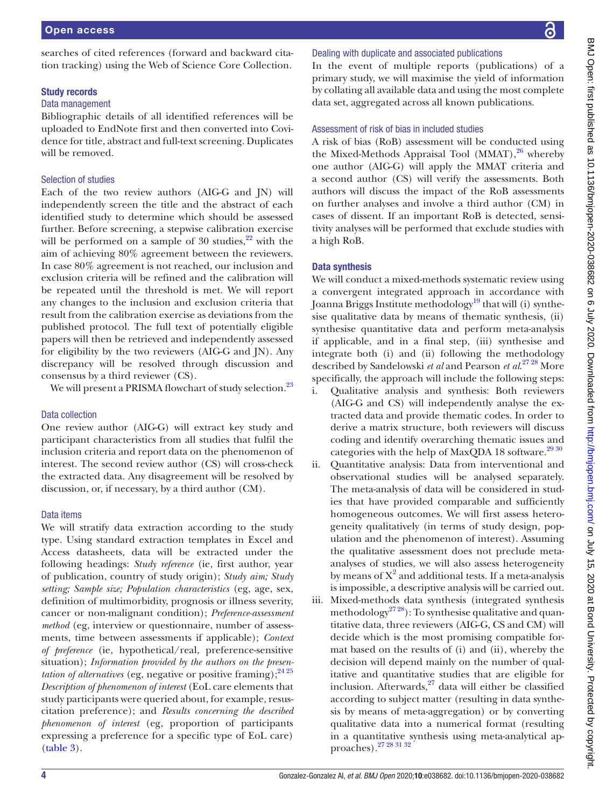# Study records

#### Data management

Bibliographic details of all identified references will be uploaded to EndNote first and then converted into Covidence for title, abstract and full-text screening. Duplicates will be removed.

tion tracking) using the Web of Science Core Collection.

# Selection of studies

Each of the two review authors (AIG-G and JN) will independently screen the title and the abstract of each identified study to determine which should be assessed further. Before screening, a stepwise calibration exercise will be performed on a sample of 30 studies,  $2^2$  with the aim of achieving 80% agreement between the reviewers. In case 80% agreement is not reached, our inclusion and exclusion criteria will be refined and the calibration will be repeated until the threshold is met. We will report any changes to the inclusion and exclusion criteria that result from the calibration exercise as deviations from the published protocol. The full text of potentially eligible papers will then be retrieved and independently assessed for eligibility by the two reviewers (AIG-G and JN). Any discrepancy will be resolved through discussion and consensus by a third reviewer (CS).

We will present a PRISMA flowchart of study selection.<sup>[23](#page-6-18)</sup>

# Data collection

One review author (AIG-G) will extract key study and participant characteristics from all studies that fulfil the inclusion criteria and report data on the phenomenon of interest. The second review author (CS) will cross-check the extracted data. Any disagreement will be resolved by discussion, or, if necessary, by a third author (CM).

# Data items

We will stratify data extraction according to the study type. Using standard extraction templates in Excel and Access datasheets, data will be extracted under the following headings: *Study reference* (ie, first author, year of publication, country of study origin); *Study aim; Study setting; Sample size; Population characteristics* (eg, age, sex, definition of multimorbidity, prognosis or illness severity, cancer or non-malignant condition); *Preference-assessment method* (eg, interview or questionnaire, number of assessments, time between assessments if applicable); *Context of preference* (ie, hypothetical/real, preference-sensitive situation); *Information provided by the authors on the presentation of alternatives* (eg, negative or positive framing);  $2425$ *Description of phenomenon of interest* (EoL care elements that study participants were queried about, for example, resuscitation preference); and *Results concerning the described phenomenon of interest* (eg, proportion of participants expressing a preference for a specific type of EoL care) ([table](#page-5-0) 3).

# Dealing with duplicate and associated publications

In the event of multiple reports (publications) of a primary study, we will maximise the yield of information by collating all available data and using the most complete data set, aggregated across all known publications.

# Assessment of risk of bias in included studies

A risk of bias (RoB) assessment will be conducted using the Mixed-Methods Appraisal Tool (MMAT), $26$  whereby one author (AIG-G) will apply the MMAT criteria and a second author (CS) will verify the assessments. Both authors will discuss the impact of the RoB assessments on further analyses and involve a third author (CM) in cases of dissent. If an important RoB is detected, sensitivity analyses will be performed that exclude studies with a high RoB.

# Data synthesis

We will conduct a mixed-methods systematic review using a convergent integrated approach in accordance with Joanna Briggs Institute methodology<sup>19</sup> that will (i) synthesise qualitative data by means of thematic synthesis, (ii) synthesise quantitative data and perform meta-analysis if applicable, and in a final step, (iii) synthesise and integrate both (i) and (ii) following the methodology described by Sandelowski *et al* and Pearson *et al*. [27 28](#page-6-21) More specifically, the approach will include the following steps:

- i. Qualitative analysis and synthesis: Both reviewers (AIG-G and CS) will independently analyse the extracted data and provide thematic codes. In order to derive a matrix structure, both reviewers will discuss coding and identify overarching thematic issues and categories with the help of MaxQDA 18 software.<sup>29 30</sup>
- ii. Quantitative analysis: Data from interventional and observational studies will be analysed separately. The meta-analysis of data will be considered in studies that have provided comparable and sufficiently homogeneous outcomes. We will first assess heterogeneity qualitatively (in terms of study design, population and the phenomenon of interest). Assuming the qualitative assessment does not preclude metaanalyses of studies, we will also assess heterogeneity by means of  $X^2$  and additional tests. If a meta-analysis is impossible, a descriptive analysis will be carried out.
- iii. Mixed-methods data synthesis (integrated synthesis methodology<sup>2728</sup>): To synthesise qualitative and quantitative data, three reviewers (AIG-G, CS and CM) will decide which is the most promising compatible format based on the results of (i) and (ii), whereby the decision will depend mainly on the number of qualitative and quantitative studies that are eligible for inclusion. Afterwards, $27$  data will either be classified according to subject matter (resulting in data synthesis by means of meta-aggregation) or by converting qualitative data into a numerical format (resulting in a quantitative synthesis using meta-analytical approaches)[.27 28 31 32](#page-6-21)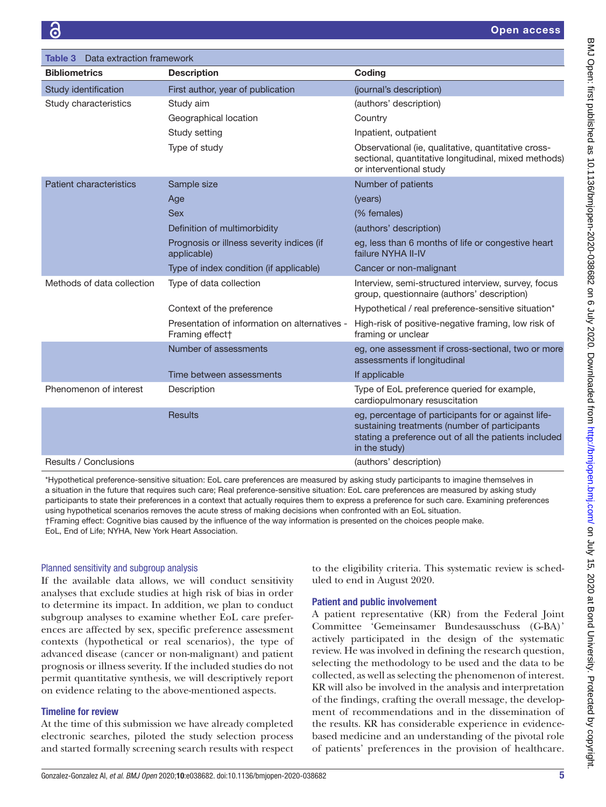<span id="page-5-0"></span>

| Data extraction framework<br>Table 3 |                                                                              |                                                                                                                                                                                |  |  |
|--------------------------------------|------------------------------------------------------------------------------|--------------------------------------------------------------------------------------------------------------------------------------------------------------------------------|--|--|
| <b>Bibliometrics</b>                 | <b>Description</b>                                                           | Coding                                                                                                                                                                         |  |  |
| Study identification                 | First author, year of publication                                            | (journal's description)                                                                                                                                                        |  |  |
| Study characteristics                | Study aim                                                                    | (authors' description)                                                                                                                                                         |  |  |
|                                      | Geographical location                                                        | Country                                                                                                                                                                        |  |  |
|                                      | Study setting                                                                | Inpatient, outpatient                                                                                                                                                          |  |  |
|                                      | Type of study                                                                | Observational (ie, qualitative, quantitative cross-<br>sectional, quantitative longitudinal, mixed methods)<br>or interventional study                                         |  |  |
| <b>Patient characteristics</b>       | Sample size                                                                  | Number of patients                                                                                                                                                             |  |  |
|                                      | Age                                                                          | (years)                                                                                                                                                                        |  |  |
|                                      | <b>Sex</b>                                                                   | (% females)                                                                                                                                                                    |  |  |
|                                      | Definition of multimorbidity                                                 | (authors' description)                                                                                                                                                         |  |  |
|                                      | Prognosis or illness severity indices (if<br>applicable)                     | eg, less than 6 months of life or congestive heart<br>failure NYHA II-IV                                                                                                       |  |  |
|                                      | Type of index condition (if applicable)                                      | Cancer or non-malignant                                                                                                                                                        |  |  |
| Methods of data collection           | Type of data collection                                                      | Interview, semi-structured interview, survey, focus<br>group, questionnaire (authors' description)                                                                             |  |  |
|                                      | Context of the preference                                                    | Hypothetical / real preference-sensitive situation*                                                                                                                            |  |  |
|                                      | Presentation of information on alternatives -<br>Framing effect <sup>+</sup> | High-risk of positive-negative framing, low risk of<br>framing or unclear                                                                                                      |  |  |
|                                      | Number of assessments                                                        | eg, one assessment if cross-sectional, two or more<br>assessments if longitudinal                                                                                              |  |  |
|                                      | Time between assessments                                                     | If applicable                                                                                                                                                                  |  |  |
| Phenomenon of interest               | Description                                                                  | Type of EoL preference queried for example,<br>cardiopulmonary resuscitation                                                                                                   |  |  |
|                                      | <b>Results</b>                                                               | eg, percentage of participants for or against life-<br>sustaining treatments (number of participants<br>stating a preference out of all the patients included<br>in the study) |  |  |
| Results / Conclusions                |                                                                              | (authors' description)                                                                                                                                                         |  |  |

\*Hypothetical preference-sensitive situation: EoL care preferences are measured by asking study participants to imagine themselves in a situation in the future that requires such care; Real preference-sensitive situation: EoL care preferences are measured by asking study participants to state their preferences in a context that actually requires them to express a preference for such care. Examining preferences using hypothetical scenarios removes the acute stress of making decisions when confronted with an EoL situation. †Framing effect: Cognitive bias caused by the influence of the way information is presented on the choices people make. EoL, End of Life; NYHA, New York Heart Association.

#### Planned sensitivity and subgroup analysis

If the available data allows, we will conduct sensitivity analyses that exclude studies at high risk of bias in order to determine its impact. In addition, we plan to conduct subgroup analyses to examine whether EoL care preferences are affected by sex, specific preference assessment contexts (hypothetical or real scenarios), the type of advanced disease (cancer or non-malignant) and patient prognosis or illness severity. If the included studies do not permit quantitative synthesis, we will descriptively report on evidence relating to the above-mentioned aspects.

# Timeline for review

At the time of this submission we have already completed electronic searches, piloted the study selection process and started formally screening search results with respect to the eligibility criteria. This systematic review is scheduled to end in August 2020.

# Patient and public involvement

A patient representative (KR) from the Federal Joint Committee 'Gemeinsamer Bundesausschuss (G-BA)' actively participated in the design of the systematic review. He was involved in defining the research question, selecting the methodology to be used and the data to be collected, as well as selecting the phenomenon of interest. KR will also be involved in the analysis and interpretation of the findings, crafting the overall message, the development of recommendations and in the dissemination of the results. KR has considerable experience in evidencebased medicine and an understanding of the pivotal role of patients' preferences in the provision of healthcare.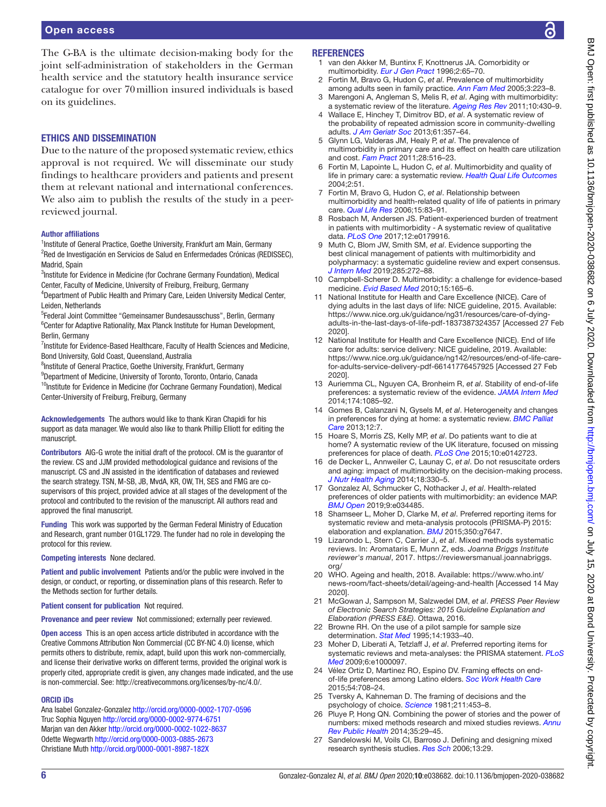# Open access

The G-BA is the ultimate decision-making body for the joint self-administration of stakeholders in the German health service and the statutory health insurance service catalogue for over 70million insured individuals is based on its guidelines.

# Ethics and dissemination

Due to the nature of the proposed systematic review, ethics approval is not required. We will disseminate our study findings to healthcare providers and patients and present them at relevant national and international conferences. We also aim to publish the results of the study in a peerreviewed journal.

#### Author affiliations

<sup>1</sup>Institute of General Practice, Goethe University, Frankfurt am Main, Germany <sup>2</sup>Red de Investigación en Servicios de Salud en Enfermedades Crónicas (REDISSEC), Madrid, Spain

<sup>3</sup>Institute for Evidence in Medicine (for Cochrane Germany Foundation), Medical Center, Faculty of Medicine, University of Freiburg, Freiburg, Germany

<sup>4</sup>Department of Public Health and Primary Care, Leiden University Medical Center, Leiden, Netherlands

5 Federal Joint Committee "Gemeinsamer Bundesausschuss", Berlin, Germany <sup>6</sup> Center for Adaptive Rationality, Max Planck Institute for Human Development, Berlin, Germany

<sup>7</sup>Institute for Evidence-Based Healthcare, Faculty of Health Sciences and Medicine, Bond University, Gold Coast, Queensland, Australia

<sup>8</sup>Institute of General Practice, Goethe University, Frankfurt, Germany

<sup>9</sup>Department of Medicine, University of Toronto, Toronto, Ontario, Canada

<sup>10</sup>Institute for Evidence in Medicine (for Cochrane Germany Foundation), Medical Center-University of Freiburg, Freiburg, Germany

Acknowledgements The authors would like to thank Kiran Chapidi for his support as data manager. We would also like to thank Phillip Elliott for editing the manuscript.

Contributors AIG-G wrote the initial draft of the protocol. CM is the guarantor of the review. CS and JJM provided methodological guidance and revisions of the manuscript. CS and JN assisted in the identification of databases and reviewed the search strategy. TSN, M-SB, JB, MvdA, KR, OW, TH, SES and FMG are cosupervisors of this project, provided advice at all stages of the development of the protocol and contributed to the revision of the manuscript. All authors read and approved the final manuscript.

Funding This work was supported by the German Federal Ministry of Education and Research, grant number 01GL1729. The funder had no role in developing the protocol for this review.

Competing interests None declared.

Patient and public involvement Patients and/or the public were involved in the design, or conduct, or reporting, or dissemination plans of this research. Refer to the Methods section for further details.

Patient consent for publication Not required.

Provenance and peer review Not commissioned; externally peer reviewed.

Open access This is an open access article distributed in accordance with the Creative Commons Attribution Non Commercial (CC BY-NC 4.0) license, which permits others to distribute, remix, adapt, build upon this work non-commercially, and license their derivative works on different terms, provided the original work is properly cited, appropriate credit is given, any changes made indicated, and the use is non-commercial. See: [http://creativecommons.org/licenses/by-nc/4.0/.](http://creativecommons.org/licenses/by-nc/4.0/)

#### ORCID iDs

Ana Isabel Gonzalez-Gonzalez <http://orcid.org/0000-0002-1707-0596> Truc Sophia Nguyen<http://orcid.org/0000-0002-9774-6751> Marjan van den Akker <http://orcid.org/0000-0002-1022-8637> Odette Wegwarth <http://orcid.org/0000-0003-0885-2673> Christiane Muth<http://orcid.org/0000-0001-8987-182X>

#### <span id="page-6-0"></span>**REFERENCES**

- 1 van den Akker M, Buntinx F, Knottnerus JA. Comorbidity or multimorbidity. *[Eur J Gen Pract](http://dx.doi.org/10.3109/13814789609162146)* 1996;2:65–70.
- <span id="page-6-1"></span>2 Fortin M, Bravo G, Hudon C, *et al*. Prevalence of multimorbidity among adults seen in family practice. *[Ann Fam Med](http://dx.doi.org/10.1370/afm.272)* 2005;3:223–8.
- <span id="page-6-2"></span>3 Marengoni A, Angleman S, Melis R, *et al*. Aging with multimorbidity: a systematic review of the literature. *[Ageing Res Rev](http://dx.doi.org/10.1016/j.arr.2011.03.003)* 2011;10:430–9.
- 4 Wallace E, Hinchey T, Dimitrov BD, *et al*. A systematic review of the probability of repeated admission score in community-dwelling adults. *[J Am Geriatr Soc](http://dx.doi.org/10.1111/jgs.12150)* 2013;61:357–64.
- 5 Glynn LG, Valderas JM, Healy P, *et al*. The prevalence of multimorbidity in primary care and its effect on health care utilization and cost. *[Fam Pract](http://dx.doi.org/10.1093/fampra/cmr013)* 2011;28:516–23.
- <span id="page-6-3"></span>6 Fortin M, Lapointe L, Hudon C, *et al*. Multimorbidity and quality of life in primary care: a systematic review. *[Health Qual Life Outcomes](http://dx.doi.org/10.1186/1477-7525-2-51)* 2004;2:51.
- 7 Fortin M, Bravo G, Hudon C, *et al*. Relationship between multimorbidity and health-related quality of life of patients in primary care. *[Qual Life Res](http://dx.doi.org/10.1007/s11136-005-8661-z)* 2006;15:83–91.
- 8 Rosbach M, Andersen JS. Patient-experienced burden of treatment in patients with multimorbidity - A systematic review of qualitative data. *[PLoS One](http://dx.doi.org/10.1371/journal.pone.0179916)* 2017;12:e0179916.
- <span id="page-6-4"></span>9 Muth C, Blom JW, Smith SM, *et al*. Evidence supporting the best clinical management of patients with multimorbidity and polypharmacy: a systematic guideline review and expert consensus. *[J Intern Med](http://dx.doi.org/10.1111/joim.12842)* 2019;285:272–88.
- <span id="page-6-9"></span>10 Campbell-Scherer D. Multimorbidity: a challenge for evidence-based medicine. *[Evid Based Med](http://dx.doi.org/10.1136/ebm1154)* 2010;15:165–6.
- <span id="page-6-5"></span>11 National Institute for Health and Care Excellence (NICE). Care of dying adults in the last days of life: NICE guideline, 2015. Available: [https://www.nice.org.uk/guidance/ng31/resources/care-of-dying](https://www.nice.org.uk/guidance/ng31/resources/care-of-dying-adults-in-the-last-days-of-life-pdf-1837387324357)[adults-in-the-last-days-of-life-pdf-1837387324357](https://www.nice.org.uk/guidance/ng31/resources/care-of-dying-adults-in-the-last-days-of-life-pdf-1837387324357) [Accessed 27 Feb 2020].
- <span id="page-6-15"></span>12 National Institute for Health and Care Excellence (NICE). End of life care for adults: service delivery: NICE guideline, 2019. Available: [https://www.nice.org.uk/guidance/ng142/resources/end-of-life-care](https://www.nice.org.uk/guidance/ng142/resources/end-of-life-care-for-adults-service-delivery-pdf-66141776457925)[for-adults-service-delivery-pdf-66141776457925](https://www.nice.org.uk/guidance/ng142/resources/end-of-life-care-for-adults-service-delivery-pdf-66141776457925) [Accessed 27 Feb 2020].
- <span id="page-6-6"></span>13 Auriemma CL, Nguyen CA, Bronheim R, *et al*. Stability of end-of-life preferences: a systematic review of the evidence. *[JAMA Intern Med](http://dx.doi.org/10.1001/jamainternmed.2014.1183)* 2014;174:1085–92.
- <span id="page-6-7"></span>14 Gomes B, Calanzani N, Gysels M, *et al*. Heterogeneity and changes in preferences for dying at home: a systematic review. *[BMC Palliat](http://dx.doi.org/10.1186/1472-684X-12-7)  [Care](http://dx.doi.org/10.1186/1472-684X-12-7)* 2013;12:7.
- <span id="page-6-8"></span>15 Hoare S, Morris ZS, Kelly MP, *et al*. Do patients want to die at home? A systematic review of the UK literature, focused on missing preferences for place of death. *[PLoS One](http://dx.doi.org/10.1371/journal.pone.0142723)* 2015;10:e0142723.
- <span id="page-6-10"></span>16 de Decker L, Annweiler C, Launay C, *et al*. Do not resuscitate orders and aging: impact of multimorbidity on the decision-making process. *[J Nutr Health Aging](http://dx.doi.org/10.1007/s12603-014-0023-5)* 2014;18:330–5.
- <span id="page-6-11"></span>17 Gonzalez AI, Schmucker C, Nothacker J, *et al*. Health-related preferences of older patients with multimorbidity: an evidence MAP. *[BMJ Open](http://dx.doi.org/10.1136/bmjopen-2019-034485)* 2019;9:e034485.
- <span id="page-6-12"></span>18 Shamseer L, Moher D, Clarke M, *et al*. Preferred reporting items for systematic review and meta-analysis protocols (PRISMA-P) 2015: elaboration and explanation. *[BMJ](http://dx.doi.org/10.1136/bmj.g7647)* 2015;350:g7647.
- <span id="page-6-13"></span>19 Lizarondo L, Stern C, Carrier J, *et al*. Mixed methods systematic reviews. In: Aromataris E, Munn Z, eds. *Joanna Briggs Institute reviewer's manual*, 2017. [https://reviewersmanual.joannabriggs.](https://reviewersmanual.joannabriggs.org/) [org/](https://reviewersmanual.joannabriggs.org/)
- <span id="page-6-14"></span>20 WHO. Ageing and health, 2018. Available: [https://www.who.int/](https://www.who.int/news-room/fact-sheets/detail/ageing-and-health) [news-room/fact-sheets/detail/ageing-and-health](https://www.who.int/news-room/fact-sheets/detail/ageing-and-health) [Accessed 14 May 2020].
- <span id="page-6-16"></span>21 McGowan J, Sampson M, Salzwedel DM, *et al*. *PRESS Peer Review of Electronic Search Strategies: 2015 Guideline Explanation and Elaboration (PRESS E&E)*. Ottawa, 2016.
- <span id="page-6-17"></span>22 Browne RH. On the use of a pilot sample for sample size determination. *[Stat Med](http://dx.doi.org/10.1002/sim.4780141709)* 1995;14:1933–40.
- <span id="page-6-18"></span>23 Moher D, Liberati A, Tetzlaff J, *et al*. Preferred reporting items for systematic reviews and meta-analyses: the PRISMA statement. *[PLoS](http://dx.doi.org/10.1371/journal.pmed.1000097)  [Med](http://dx.doi.org/10.1371/journal.pmed.1000097)* 2009;6:e1000097.
- <span id="page-6-19"></span>24 Vélez Ortiz D, Martinez RO, Espino DV. Framing effects on endof-life preferences among Latino elders. *[Soc Work Health Care](http://dx.doi.org/10.1080/00981389.2015.1059398)* 2015;54:708–24.
- 25 Tversky A, Kahneman D. The framing of decisions and the psychology of choice. *[Science](http://dx.doi.org/10.1126/science.7455683)* 1981;211:453–8.
- <span id="page-6-20"></span>26 Pluye P, Hong QN. Combining the power of stories and the power of numbers: mixed methods research and mixed studies reviews. *[Annu](http://dx.doi.org/10.1146/annurev-publhealth-032013-182440)  [Rev Public Health](http://dx.doi.org/10.1146/annurev-publhealth-032013-182440)* 2014;35:29–45.
- <span id="page-6-21"></span>27 Sandelowski M, Voils CI, Barroso J. Defining and designing mixed research synthesis studies. *[Res Sch](http://www.ncbi.nlm.nih.gov/pubmed/http://www.ncbi.nlm.nih.gov/pubmed/20098638)* 2006;13:29.